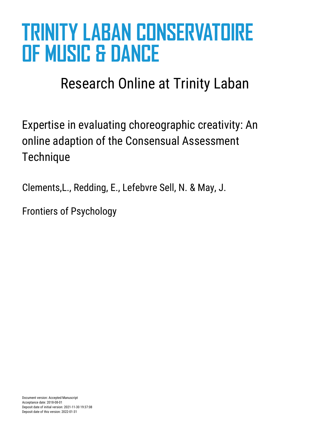# **TRINITY LABAN CONSERVATOIRE OF MUSIC & DANCE**

## Research Online at Trinity Laban

Expertise in evaluating choreographic creativity: An online adaption of the Consensual Assessment **Technique** 

Clements,L., Redding, E., Lefebvre Sell, N. & May, J.

Frontiers of Psychology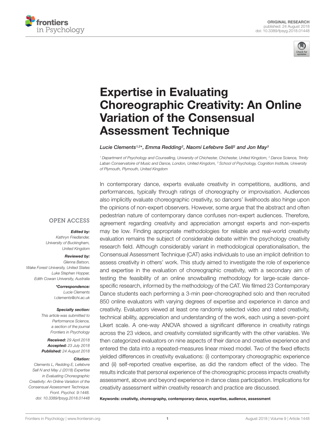



### Expertise in Evaluating [Choreographic Creativity: An Online](https://www.frontiersin.org/articles/10.3389/fpsyg.2018.01448/full) Variation of the Consensual Assessment Technique

[Lucie Clements](http://loop.frontiersin.org/people/491269/overview)1,2\*, [Emma Redding](http://loop.frontiersin.org/people/155725/overview)<sup>2</sup>, [Naomi Lefebvre Sell](http://loop.frontiersin.org/people/224165/overview)<sup>2</sup> and [Jon May](http://loop.frontiersin.org/people/145043/overview)<sup>3</sup>

<sup>1</sup> Department of Psychology and Counselling, University of Chichester, Chichester, United Kingdom, <sup>2</sup> Dance Science, Trinity Laban Conservatoire of Music and Dance, London, United Kingdom, <sup>3</sup> School of Psychology, Cognition Institute, University of Plymouth, Plymouth, United Kingdom

**OPEN ACCESS** 

#### Edited by:

Kathryn Friedlander, University of Buckingham, United Kingdom

#### Reviewed by:

Glenna Batson, Wake Forest University, United States Luke Stephen Hopper, Edith Cowan University, Australia

> \*Correspondence: Lucie Clements l.clements@chi.ac.uk

#### Specialty section:

This article was submitted to Performance Science, a section of the journal Frontiers in Psychology

Received: 29 April 2018 Accepted: 23 July 2018 Published: 24 August 2018

#### Citation:

Clements L, Redding E, Lefebvre Sell N and May J (2018) Expertise in Evaluating Choreographic Creativity: An Online Variation of the Consensual Assessment Technique. Front. Psychol. 9:1448. doi: [10.3389/fpsyg.2018.01448](https://doi.org/10.3389/fpsyg.2018.01448) In contemporary dance, experts evaluate creativity in competitions, auditions, and performances, typically through ratings of choreography or improvisation. Audiences also implicitly evaluate choreographic creativity, so dancers' livelihoods also hinge upon the opinions of non-expert observers. However, some argue that the abstract and often pedestrian nature of contemporary dance confuses non-expert audiences. Therefore, agreement regarding creativity and appreciation amongst experts and non-experts may be low. Finding appropriate methodologies for reliable and real-world creativity evaluation remains the subject of considerable debate within the psychology creativity research field. Although considerably variant in methodological operationalisation, the Consensual Assessment Technique (CAT) asks individuals to use an implicit definition to assess creativity in others' work. This study aimed to investigate the role of experience and expertise in the evaluation of choreographic creativity, with a secondary aim of testing the feasibility of an online snowballing methodology for large-scale dancespecific research, informed by the methodology of the CAT. We filmed 23 Contemporary Dance students each performing a 3-min peer-choreographed solo and then recruited 850 online evaluators with varying degrees of expertise and experience in dance and creativity. Evaluators viewed at least one randomly selected video and rated creativity, technical ability, appreciation and understanding of the work, each using a seven-point Likert scale. A one-way ANOVA showed a significant difference in creativity ratings across the 23 videos, and creativity correlated significantly with the other variables. We then categorized evaluators on nine aspects of their dance and creative experience and entered the data into a repeated-measures linear mixed model. Two of the fixed effects yielded differences in creativity evaluations: (i) contemporary choreographic experience and (ii) self-reported creative expertise, as did the random effect of the video. The results indicate that personal experience of the choreographic process impacts creativity assessment, above and beyond experience in dance class participation. Implications for creativity assessment within creativity research and practice are discussed.

Keywords: creativity, choreography, contemporary dance, expertise, audience, assessment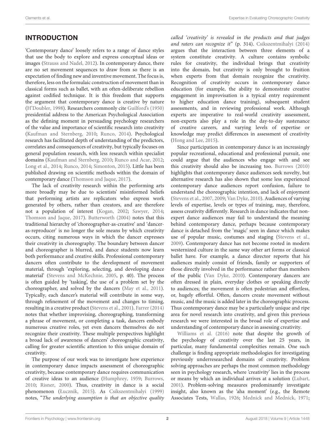#### INTRODUCTION

'Contemporary dance' loosely refers to a range of dance styles that use the body to explore and express conceptual ideas or images (Strauss and Nadel, 2012). In contemporary dance, there are no set movement sequences to draw from so there is an expectation of finding new and inventive movement. The focus is, therefore, less on the formulaic construction of movement than in classical forms such as ballet, with an often-deliberate rebellion against codified technique. It is this freedom that supports the argument that contemporary dance is creative by nature (H'Doubler, 1998). Researchers commonly cite Guilford's (1950) presidential address to the American Psychological Association as the defining moment in persuading psychology researchers of the value and importance of scientific research into creativity (Kaufman and Sternberg, 2010; Runco, 2014). Psychological research has facilitated depth of understanding of the predictors, correlates and consequences of creativity, but typically focuses on general population research, with less research within specialist domains (Kaufman and Sternberg, 2010; Runco and Acar, 2012; Long et al., 2014; Runco, 2014; Simonton, 2015). Little has been published drawing on scientific methods within the domain of contemporary dance (Thomson and Jaque, 2017).

The lack of creativity research within the performing arts more broadly may be due to scientists' misinformed beliefs that performing artists are replicators who express work generated by others, rather than creators, and are therefore not a population of interest (Kogan, 2002; Sawyer, 2014; Thomson and Jaque, 2017). Butterworth (2004) notes that this traditional hierarchy of 'choreographer-as-creative' and 'danceras-reproducer' is no longer the sole means by which creativity occurs, citing numerous ways in which the dancer expresses their creativity in choreography. The boundary between dancer and choreographer is blurred, and dance students now learn both performance and creative skills. Professional contemporary dancers often contribute to the development of movement material, through 'exploring, selecting, and developing dance material' (Stevens and McKechnie, 2005, p. 40). The process is often guided by 'tasking', the use of a problem set by the choreographer, and solved by the dancers (May et al., 2011). Typically, each dancer's material will contribute in some way, through refinement of the movement and changes to timing, resulting in a creative product (Stevens et al., 2001). Farrer (2014) notes that whether improvising, choreographing, transforming a phrase of movement, or completing a task, dancers embody numerous creative roles, yet even dancers themselves do not recognize their creativity. These multiple perspectives highlight a broad lack of awareness of dancers' choreographic creativity, calling for greater scientific attention to this unique domain of creativity.

The purpose of our work was to investigate how experience in contemporary dance impacts assessment of choreographic creativity, because contemporary dance requires communication of creative ideas to an audience (Humphrey, 1959; Burrows, 2010; Risner, 2000). Thus, creativity in dance is a social phenomenon (Łucznik, 2015). As Csikszentmihalyi (1999) notes, "The underlying assumption is that an objective quality called 'creativity' is revealed in the products and that judges and raters can recognize it" (p. 314). Csikszentmihalyi (2014) argues that the interaction between three elements of a system constitute creativity. A culture contains symbolic rules for creativity, the individual brings that creativity into the domain, but creativity is only brought to fruition when experts from that domain recognize the creativity. Recognition of creativity occurs in contemporary dance education (for example, the ability to demonstrate creative engagement in improvisation is a typical entry requirement to higher education dance training), subsequent student assessments, and in reviewing professional work. Although experts are imperative to real-world creativity assessment, non-experts also play a role in the day-to-day sustenance of creative careers, and varying levels of expertise or knowledge may predict differences in assessment of creativity (Hong and Lee, 2015).

Since participation in contemporary dance is an increasingly popular recreational, educational and professional pursuit, one could argue that the audiences who engage with and see this creativity should also be increasing too. Burrows (2010) highlights that contemporary dance audiences seek novelty, but alternative research has also shown that some less experienced contemporary dance audiences report confusion, failure to understand the choreographic intention, and lack of enjoyment (Stevens et al., 2007, 2009; Van Dyke, 2010). Audiences of varying levels of expertise, levels or types of training, may, therefore, assess creativity differently. Research in dance indicates that nonexpert dance audiences may fail to understand the meaning behind contemporary dance, perhaps because contemporary dance is detached from the 'magic' seen in dance which makes use of popular music, costumes and staging (Stevens et al., 2009). Contemporary dance has not become rooted in modern westernized culture in the same way other art forms or classical ballet have. For example, a dance director reports that his audiences mainly consist of friends, family or supporters of those directly involved in the performance rather than members of the public (Van Dyke, 2010). Contemporary dancers are often dressed in plain, everyday clothes or speaking directly to audiences; the movement is often pedestrian and effortless, or, hugely effortful. Often, dancers create movement without music, and the music is added later in the choreographic process. Thus contemporary dance may be a particularly unique and ripe area for novel research into creativity, and given this previous research we were interested in the broad role of expertise and understanding of contemporary dance in assessing creativity.

Williams et al. (2016) note that despite the growth of the psychology of creativity over the last 25 years, in particular, many fundamental complexities remain. One such challenge is finding appropriate methodologies for investigating previously underresearched domains of creativity. Problem solving approaches are perhaps the most common methodology seen in psychology research, where 'creativity' lies in the process or means by which an individual arrives at a solution (Lubart, 2001). Problem-solving measures predominantly investigate insight, also known as the 'aha moment' (e.g., the Remote Associates Tests, Wallas, 1926; Mednick and Mednick, 1971;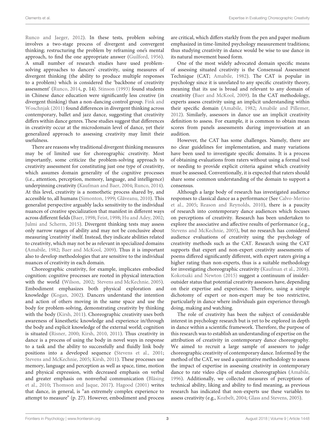Runco and Jaeger, 2012). In these tests, problem solving involves a two-stage process of divergent and convergent thinking; restructuring the problem by reframing one's mental approach, to find the one appropriate answer (Guilford, 1956). A small number of research studies have used problemsolving approaches to dancers' creativity, using measures of divergent thinking (the ability to produce multiple responses to a problem) which is considered the 'backbone of creativity assessment' (Runco, 2014, p. 14). Stinson (1993) found students in Chinese dance education were significantly less creative (in divergent thinking) than a non-dancing control group. Fink and Woschnjak (2011) found differences in divergent thinking across contemporary, ballet and jazz dance, suggesting that creativity differs within dance genres. These studies suggest that differences in creativity occur at the microdomain level of dance, yet their generalized approach to assessing creativity may limit their usefulness.

There are reasons why traditional divergent thinking measures may be of limited use for choreographic creativity. Most importantly, some criticize the problem-solving approach to creativity assessment for constituting just one type of creativity, which assumes domain generality of the cognitive processes (i.e., attention, perception, memory, language, and intelligence) underpinning creativity (Kaufman and Baer, 2004; Runco, 2014). At this level, creativity is a nomothetic process shared by, and accessible to, all humans (Simonton, 1999; Glăveanu, 2010). This generalist perspective arguably lacks sensitivity to the individual nuances of creative specialization that manifest in different ways across different fields (Baer, 1998; Feist, 1998; Hu and Adey, 2002; Julmi and Scherm, 2015). Divergent thinking tests may assess only narrow ranges of ability and may not be conclusive about measuring 'creativity' itself. Instead, they indicate abilities related to creativity, which may not be as relevant in specialized domains (Amabile, 1982; Baer and McKool, 2009). Thus it is important also to develop methodologies that are sensitive to the individual nuances of creativity in each domain.

Choreographic creativity, for example, implicates embodied cognition: cognitive processes are rooted in physical interaction with the world (Wilson, 2002; Stevens and McKechnie, 2005). Embodiment emphasizes both physical exploration and knowledge (Kogan, 2002). Dancers understand the intention and action of others moving in the same space and use the body for problem-solving, demonstrating creativity by thinking with the body (Kirsh, 2011). Choreographic creativity uses both awareness of kinesthetic knowledge and experience in/through the body and explicit knowledge of the external world; cognition is situated (Risner, 2000; Kirsh, 2010, 2011). Thus creativity in dance is a process of using the body in novel ways in response to a task and the ability to successfully and fluidly link body positions into a developed sequence (Stevens et al., 2001; Stevens and McKechnie, 2005; Kirsh, 2011). These processes use memory, language and perception as well as space, time, motion and physical expression, with decreased emphasis on verbal and greater emphasis on nonverbal communication (Bläsing et al., 2010; Thomson and Jaque, 2017). Hagood (2001) writes that dance, in general, is "an extremely complex experience to attempt to measure" (p. 27). However, embodiment and process are critical, which differs starkly from the pen and paper medium emphasized in time-limited psychology measurement traditions; thus studying creativity in dance would be wise to use dance in its natural movement based form.

One of the most widely advocated domain specific means of assessing situated creativity is the Consensual Assessment Technique (CAT; Amabile, 1982). The CAT is popular in psychology since it is unrelated to any specific creativity theory, meaning that its use is broad and relevant to any domain of creativity (Baer and McKool, 2009). In the CAT methodology, experts assess creativity using an implicit understanding within their specific domain (Amabile, 1982; Amabile and Pillemer, 2012). Similarly, assessors in dance use an implicit creativity definition to assess. For example, it is common to obtain mean scores from panels assessments during improvisation at an audition.

However, the CAT has some challenges. Namely, there are no clear guidelines for implementation, and many variations have been used to investigate specific domains. It is a process of obtaining evaluations from raters without using a formal tool or needing to provide explicit criteria against which creativity must be assessed. Conventionally, it is expected that raters should share some common understanding of the domain to support a consensus.

Although a large body of research has investigated audience responses to classical dance as a performance (See Calvo-Merino et al., 2005; Reason and Reynolds, 2010), there is a paucity of research into contemporary dance audiences which focuses on perceptions of creativity. Research has been undertaken to explore the associative and affective results of performance (e.g., Stevens and McKechnie, 2005), but no research has considered audience evaluations of creativity using the psychology of creativity methods such as the CAT. Research using the CAT supports that expert and non-expert creativity assessments of poems differed significantly different, with expert raters giving a higher rating than non-experts, thus is a suitable methodology for investigating choreographic creativity (Kaufman et al., 2008). Kokotsaki and Newton (2015) suggest a continuum of insideroutsider status that potential creativity assessors have, depending on their expertise and experience. Therefore, using a simple dichotomy of expert or non-expert may be too restrictive, particularly in dance where individuals gain experience through doing, making and watching.

The role of creativity has been the subject of considerable interest in psychology research but is yet to be explored in depth in dance within a scientific framework. Therefore, the purpose of this research was to establish an understanding of expertise on the attribution of creativity in contemporary dance choreography. We aimed to recruit a large sample of assessors to judge choreographic creativity of contemporary dance. Informed by the method of the CAT, we used a quantitative methodology to assess the impact of expertise in assessing creativity in contemporary dance to rate video clips of student choreographies (Amabile, 1996). Additionally, we collected measures of perceptions of technical ability, liking and ability to find meaning, as previous research has indicated that non-experts use these variables to assess creativity (e.g., Kozbelt, 2004; Glass and Stevens, 2005).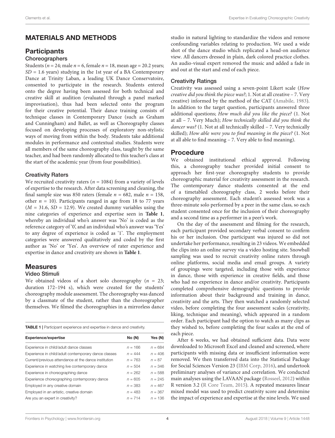#### MATERIALS AND METHODS

#### **Participants** Choreographers

Students ( $n = 24$ ; male  $n = 6$ , female  $n = 18$ , mean age = 20.2 years;  $SD = 1.6$  years) studying in the 1st year of a BA Contemporary Dance at Trinity Laban, a leading UK Dance Conservatoire, consented to participate in the research. Students entered onto the degree having been assessed for both technical and creative skill at audition (evaluated through a panel marked improvisation), thus had been selected onto the program for their creative potential. Their dance training consists of technique classes in Contemporary Dance (such as Graham and Cunningham) and Ballet, as well as Choreography classes focused on developing processes of exploratory non-stylistic ways of moving from within the body. Students take additional modules in performance and contextual studies. Students were all members of the same choreography class, taught by the same teacher, and had been randomly allocated to this teacher's class at the start of the academic year (from four possibilities).

#### Creativity Raters

We recruited creativity raters ( $n = 1084$ ) from a variety of levels of expertise to the research. After data screening and cleaning, the final sample size was 850 raters (female  $n = 682$ , male  $n = 158$ , other  $n = 10$ ). Participants ranged in age from 18 to 77 years  $(M = 31.6, SD = 12.9)$ . We created dummy variables using the nine categories of experience and expertise seen in **Table 1**, whereby an individual who's answer was 'No' is coded as the reference category of '0', and an individual who's answer was 'Yes' to any degree of experience is coded as '1'. The employment categories were answered qualitatively and coded by the first author as 'No' or 'Yes'. An overview of rater experience and expertise in dance and creativity are shown in **Table 1**.

#### **Measures**

#### Video Stimuli

We obtained videos of a short solo choreography ( $n = 23$ ; duration 172–194 s), which were created for the students' choreography module assessment. The choreography was danced by a classmate of the student, rather than the choreographer themselves. We filmed the choreographies in a mirrorless dance

TABLE 1 | Participant experience and expertise in dance and creativity.

| <b>Experience/expertise</b>                          | No (N)    | Yes(N)    |
|------------------------------------------------------|-----------|-----------|
| Experience in child/adult dance classes              | $n = 166$ | $n = 684$ |
| Experience in child/adult contemporary dance classes | $n = 444$ | $n = 406$ |
| Current/previous attendance at the dance institution | $n = 763$ | $n = 87$  |
| Experience in watching live contemporary dance       | $n = 504$ | $n = 346$ |
| Experience in choreographing dance                   | $n = 262$ | $n = 588$ |
| Experience choreographing contemporary dance         | $n = 605$ | $n = 245$ |
| Employed in any creative domain                      | $n = 383$ | $n = 467$ |
| Employed in an artistic, creative domain             | $n = 483$ | $n = 367$ |
| Are you an expert in creativity?                     | $n = 714$ | $n = 136$ |
|                                                      |           |           |

studio in natural lighting to standardize the videos and remove confounding variables relating to production. We used a wide shot of the dance studio which replicated a head-on audience view. All dancers dressed in plain, dark colored practice clothes. An audio-visual expert removed the music and added a fade in and out at the start and end of each piece.

#### Creativity Ratings

Creativity was assessed using a seven-point Likert scale (How creative did you think the piece was?; 1. Not at all creative – 7. Very creative) informed by the method of the CAT (Amabile, 1983). In addition to the target question, participants answered three additional questions; How much did you like the piece? (1. Not at all – 7. Very Much); How technically skilled did you think the dancer was? (1. Not at all technically skilled – 7. Very technically skilled); How able were you to find meaning in the piece? (1. Not at all able to find meaning – 7. Very able to find meaning).

#### Procedure

We obtained institutional ethical approval. Following this, a choreography teacher provided initial consent to approach her first-year choreography students to provide choreographic material for creativity assessment in the research. The contemporary dance students consented at the end of a timetabled choreography class, 2 weeks before their choreography assessment. Each student's assessed work was a three-minute solo performed by a peer in the same class, so each student consented once for the inclusion of their choreography and a second time as a performer in a peer's work.

On the day of the assessment and filming for the research, each participant provided secondary verbal consent to confirm his or her inclusion. One participant was injured so did not undertake her performance, resulting in 23 videos. We embedded the clips into an online survey via a video hosting site. Snowball sampling was used to recruit creativity online raters through online platforms, social media and email groups. A variety of groupings were targeted, including those with experience in dance, those with experience in creative fields, and those who had no experience in dance and/or creativity. Participants completed comprehensive demographic questions to provide information about their background and training in dance, creativity and the arts. They then watched a randomly selected video, before completing the four assessment scales (creativity, liking, technique and meaning), which appeared in a random order. Each participant had the option to watch as many clips as they wished to, before completing the four scales at the end of each piece.

After 6 weeks, we had obtained sufficient data. Data were downloaded to Microsoft Excel and cleaned and screened, where participants with missing data or insufficient information were removed. We then transferred data into the Statistical Package for Social Sciences Version 23 (IBM Corp, 2016), and undertook preliminary analyses of variance and correlation. We conducted main analyses using the LAVAAN package (Rosseel, 2012) within R version 3.2 (R Core Team, 2015). A repeated measures linear mixed model was used to predict creativity score and determine the impact of experience and expertise at the nine levels. We used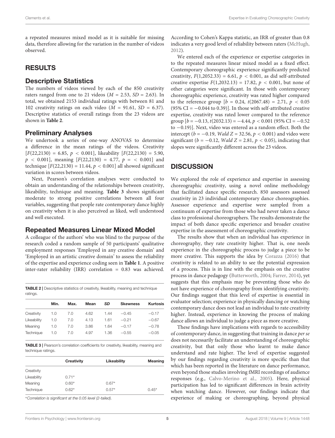a repeated measures mixed model as it is suitable for missing data, therefore allowing for the variation in the number of videos observed.

#### RESULTS

#### Descriptive Statistics

The numbers of videos viewed by each of the 850 creativity raters ranged from one to 21 videos ( $M = 2.53$ ,  $SD = 2.63$ ). In total, we obtained 2153 individual ratings with between 81 and 102 creativity ratings on each video  $(M = 91.61, SD = 6.37)$ . Descriptive statistics of overall ratings from the 23 videos are shown in **Table 2**.

#### Preliminary Analyses

We undertook a series of one-way ANOVAS to determine a difference in the mean ratings of the videos. Creativity  $[F(22,2130) = 6.85, p < 0.001]$ , likeability  $[F(22,2130) = 5.90,$  $p \le 0.001$ , meaning  $[F(22, 2130) = 4.77, p = \langle 0.001 |$  and technique  $[F(22,2130) = 11.44, p < 0.001]$  all showed significant variation in scores between videos.

Next, Pearson's correlation analyses were conducted to obtain an understanding of the relationships between creativity, likeability, technique and meaning. **Table 3** shows significant moderate to strong positive correlations between all four variables, suggesting that people rate contemporary dance highly on creativity when it is also perceived as liked, well understood and well executed.

#### Repeated Measures Linear Mixed Model

A colleague of the authors' who was blind to the purpose of the research coded a random sample of 50 participants' qualitative employment responses 'Employed in any creative domain' and 'Employed in an artistic creative domain' to assess the reliability of the expertise and experience coding seen in **Table 1**. A positive inter-rater reliability (IRR) correlation = 0.83 was achieved.

TABLE 2 | Descriptive statistics of creativity, likeability, meaning and technique ratings.

|             | Min. | Max. | Mean | SD   | <b>Skewness</b> | <b>Kurtosis</b> |
|-------------|------|------|------|------|-----------------|-----------------|
| Creativity  | 1.0  | 7.0  | 4.62 | 1.44 | $-0.45$         | $-0.17$         |
| Likeability | 1.0  | 7.0  | 4.13 | 1.61 | $-0.21$         | $-0.67$         |
| Meaning     | 1.0  | 7.0  | 3.86 | 1.64 | $-0.17$         | $-0.78$         |
| Technique   | 1.0  | 7.0  | 4.97 | 1.36 | $-0.55$         | $-0.05$         |

TABLE 3 | Pearson's correlation coefficients for creativity, likeability, meaning and technique ratings.

|             | Creativity | Likeability | <b>Meaning</b> |
|-------------|------------|-------------|----------------|
| Creativity  |            |             |                |
| Likeability | $0.71*$    |             |                |
| Meaning     | $0.60*$    | $0.67*$     |                |
| Technique   | $0.62*$    | $0.57*$     | $0.45*$        |

<sup>∗</sup>Correlation is significant at the 0.05 level (2-tailed).

According to Cohen's Kappa statistic, an IRR of greater than 0.8 indicates a very good level of reliability between raters (McHugh, 2012).

We entered each of the experience or expertise categories in to the repeated measures linear mixed model as a fixed effect. Contemporary choreographic experience significantly predicted creativity,  $F(1,2052.33) = 6.61$ ,  $p < 0.001$ , as did self-attributed creative expertise  $F(1,2032.13) = 17.82$ ,  $p < 0.001$ , but none of other categories were significant. In those with contemporary choreographic experience, creativity was rated higher compared to the reference group  $[b = 0.24, t(2067.48) = 2.71, p < 0.05]$  $(95\% \text{ CI} = -0.044 \text{ to } 0.39)$ ]. In those with self-attributed creative expertise, creativity was rated lower compared to the reference group  $[b = -0.13, t(2032.13) = -4.44, p < 0.001$  (95% CI = -0.52) to −0.19)]. Next, video was entered as a random effect. Both the intercept ( $b = -0.19$ , *Wald*  $Z = 32.56$ ,  $p < 0.001$ ) and video were significant ( $b = -0.12$ , Wald Z = 2.81,  $p < 0.05$ ), indicating that slopes were significantly different across the 23 videos.

#### **DISCUSSION**

We explored the role of experience and expertise in assessing choreographic creativity, using a novel online methodology that facilitated dance specific research. 850 assessors assessed creativity in 23 individual contemporary dance choreographies. Assessor experience and expertise were sampled from a continuum of expertise from those who had never taken a dance class to professional choreographers. The results demonstrate the impact of both dance specific experience and broader creative expertise in the assessment of choreographic creativity.

The results show that when an individual has experience in choreography, they rate creativity higher. That is, one needs experience in the choreographic process to judge a piece to be more creative. This supports the idea by Corazza (2016) that creativity is related to an ability to see the potential expression of a process. This is in line with the emphasis on the creative process in dance pedagogy (Butterworth, 2004; Farrer, 2014), yet suggests that this emphasis may be preventing those who do not have experience of choreography from identifying creativity. Our findings suggest that this level of expertise is essential in evaluator selection; experience in physically dancing or watching contemporary dance does not lead an individual to rate creativity higher. Instead, experience in knowing the process of making dance allows an individual to judge a piece as more creative.

These findings have implications with regards to accessibility of contemporary dance, in suggesting that training in dance per se does not necessarily facilitate an understanding of choreographic creativity, but that only those who learnt to make dance understand and rate higher. The level of expertise suggested by our findings regarding creativity is more specific than that which has been reported in the literature on dance performance, even beyond those studies involving fMRI recordings of audience responses (e.g., Calvo-Merino et al., 2005). Here, physical participation has led to significant differences in brain activity when watching dance. However, our findings indicate that experience of making or choreographing, beyond physical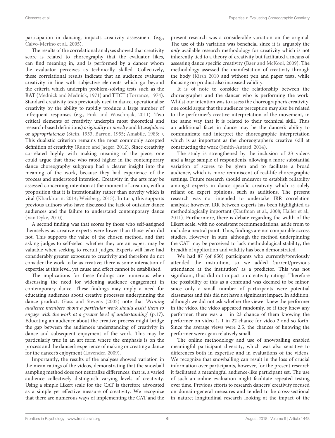participation in dancing, impacts creativity assessment (e.g., Calvo-Merino et al., 2005).

The results of the correlational analyses showed that creativity score is related to choreography that the evaluator likes, can find meaning in, and is performed by a dancer whom the evaluator perceives as technically skilled. Collectively, these correlational results indicate that an audience evaluates creativity in line with subjective elements which go beyond the criteria which underpin problem-solving tests such as the RAT (Mednick and Mednick, 1971) and TTCT (Torrance, 1974). Standard creativity tests previously used in dance, operationalise creativity by the ability to rapidly produce a large number of infrequent responses (e.g., Fink and Woschnjak, 2011). Two critical elements of creativity underpin most theoretical and research-based definitions) originality or novelty and b) usefulness or appropriateness (Stein, 1953; Barron, 1955; Amabile, 1983; ). This dualistic criterion remains the most commonly accepted definition of creativity (Runco and Jaeger, 2012). Since creativity correlated highly with making meaning of the piece, one could argue that those who rated higher in the contemporary dance choreography subgroup had a clearer insight into the meaning of the work, because they had experience of the process and understood intention. Creativity in the arts may be assessed concerning intention at the moment of creation, with a proposition that it is intentionality rather than novelty which is vital (Kharkhurin, 2014; Weisberg, 2015). In turn, this supports previous authors who have discussed the lack of outsider dance audiences and the failure to understand contemporary dance (Van Dyke, 2010).

A second finding was that scores by those who self-assigned themselves as creative experts were lower than those who did not. This supports the value of the chosen method, and that asking judges to self-select whether they are an expert may be valuable when seeking to recruit judges. Experts will have had considerably greater exposure to creativity and therefore do not consider the work to be as creative; there is some interaction of expertise at this level, yet cause and effect cannot be established.

The implications for these findings are numerous when discussing the need for widening audience engagement in contemporary dance. These findings may imply a need for educating audiences about creative processes underpinning the dance product. Glass and Stevens (2005) note that 'Priming audience members about a particular work should assist them to engage with the work at a greater level of understanding' (p.17). Educating an audience about the creative process might bridge the gap between the audience's understanding of creativity in dance and subsequent enjoyment of the work. This may be particularly true in an art form where the emphasis is on the process and the dancer's experience of making or creating a dance for the dancer's enjoyment (Lavender, 2009).

Importantly, the results of the analyses showed variation in the mean ratings of the videos, demonstrating that the snowball sampling method does not neutralize differences; that is, a varied audience collectively distinguish varying levels of creativity. Using a simple Likert scale for the CAT is therefore advocated as a simple yet effective measure of creativity. We recognize that there are numerous ways of implementing the CAT and the present research was a considerable variation on the original. The use of this variation was beneficial since it is arguably the only available research methodology for creativity which is not inherently tied to a theory of creativity but facilitated a means of assessing dance specific creativity (Baer and McKool, 2009). The methodology assessed the manifestation of creativity through the body (Kirsh, 2010 and without pen and paper tests, while focusing on product also increased validity.

It is of note to consider the relationship between the choreographer and the dancer who is performing the work. Whilst our intention was to assess the choreographer's creativity, one could argue that the audience perception may also be related to the performer's creative interpretation of the movement, in the same way that it is related to their technical skill. Thus an additional facet in dance may be the dancer's ability to communicate and interpret the choreographic interpretation which is as important as the choreographer's creative skill at constructing the work (Smith-Autard, 2014).

The study is strengthened by the inclusion of 23 videos and a large sample of respondents, allowing a more substantial variation of scores to be given and to facilitate a broad audience, which is more reminiscent of real-life choreographic settings. Future research should endeavor to establish reliability amongst experts in dance specific creativity which is solely reliant on expert opinions, such as auditions. The present research was not intended to undertake IRR correlation analysis; however, IRR between experts has been highlighted as methodologically important (Kaufman et al., 2008; Haller et al., 2011). Furthermore, there is debate regarding the width of the Likert scale, with no consistent recommendations, aside from to include a neutral point. Thus, findings are not comparable across studies. However, in sum, although the method underpinning the CAT may be perceived to lack methodological stability, the breadth of application and validity has been demonstrated.

We had 87 (of 850) participants who currently/previously attended the institution, so we added 'current/previous attendance at the institution' as a predictor. This was not significant, thus did not impact on creativity ratings. Therefore the possibility of this as a confound was deemed to be minor, since only a small number of participants were potential classmates and this did not have a significant impact. In addition, although we did not ask whether the viewer knew the performer in the video, the video appeared randomly, so if they knew any performer, there was a 1 in 23 chance of them knowing the performer on video 1, 1 in 22 chance for video 2 and so forth. Since the average views were 2.5, the chances of knowing the performer were again relatively small.

The online methodology and use of snowballing enabled meaningful participant diversity, which was also sensitive to differences both in expertise and in evaluations of the videos. We recognize that snowballing can result in the loss of crucial information over participants, however, for the present research it facilitated a meaningful audience-like participant set. The use of such an online evaluation might facilitate repeated testing over time. Previous efforts to research dancers' creativity focused on domain-general measures and tended to be cross-sectional in nature; longitudinal research looking at the impact of the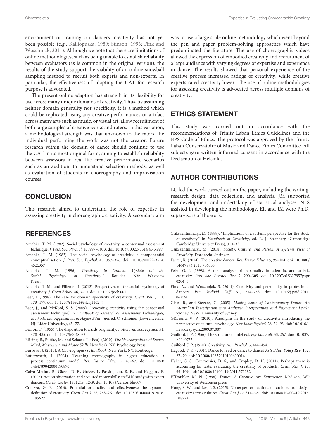environment or training on dancers' creativity has not yet been possible (e.g., Kalliopuska, 1989; Stinson, 1993; Fink and Woschnjak, 2011). Although we note that there are limitations of online methodologies, such as being unable to establish reliability between evaluators (as is common in the original version), the results of the study support the viability of an online snowball sampling method to recruit both experts and non-experts. In particular, the effectiveness of adapting the CAT for research purpose is advocated.

The present online adaption has strength in its flexibility for use across many unique domains of creativity. Thus, by assuming neither domain generality nor specificity, it is a method which could be replicated using any creative performances or artifact across many arts such as music, or visual art, allow recruitment of both large samples of creative works and raters. In this variation, a methodological strength was that unknown to the raters, the individual performing the work was not the creator. Future research within the domain of dance should continue to use the CAT in its most original form, aiming to establish reliability between assessors in real life creative performance scenarios such as an audition, to understand selection methods, as well as evaluation of students in choreography and improvisation courses.

#### **CONCLUSION**

This research aimed to understand the role of expertise in assessing creativity in choreographic creativity. A secondary aim

#### **REFERENCES**

- Amabile, T. M. (1982). Social psychology of creativity: a consensual assessment technique. J. Pers. Soc. Psychol. 43, 997–1013. [doi: 10.1037/0022-3514.43.5.997](https://doi.org/10.1037/0022-3514.43.5.997)
- Amabile, T. M. (1983). The social psychology of creativity: a componential conceptualisation. J. Pers. Soc. Psychol. 45, 357–376. [doi: 10.1037/0022-3514.](https://doi.org/10.1037/0022-3514.45.2.357) [45.2.357](https://doi.org/10.1037/0022-3514.45.2.357)
- Amabile, T. M. (1996). Creativity in Context: Update to" the Social Psychology of Creativity." Boulder, NV: Westview Press.
- Amabile, T. M., and Pillemer, J. (2012). Perspectives on the social psychology of creativity. J. Creat Behav. 46, 3–15. [doi: 10.1002/jocb.001](https://doi.org/10.1002/jocb.001)
- Baer, J. (1998). The case for domain specificity of creativity. Creat. Res. J. 11, 173–177. [doi: 10.1207/s15326934crj1102\\_7](https://doi.org/10.1207/s15326934crj1102_7)
- Baer, J., and McKool, S. S. (2009). "Assessing creativity using the consensual assessment technique," in Handbook of Research on Assessment Technologies, Methods, and Applications in Higher Education, ed. C. Schreiner (Lawrenceville, NJ: Rider University), 65–77.
- Barron, F. (1955). The disposition towards originality. J. Abnorm. Soc. Psychol. 51, 478–485. [doi: 10.1037/h0048073](https://doi.org/10.1037/h0048073)
- Bläsing, B., Puttke, M., and Schack, T. (Eds). (2010). The Neurocognition of Dance: Mind, Movement and Motor Skills. New York, NY: Psychology Press.
- Burrows, J. (2010). A Choreographer's Handbook. New York, NY: Routledge.
- Butterworth, J. (2004). Teaching choreography in higher education: a process continuum model. Res. Dance Educ. 5, 45–67. [doi: 10.1080/](https://doi.org/10.1080/1464789042000190870) [1464789042000190870](https://doi.org/10.1080/1464789042000190870)
- Calvo-Merino, B., Glaser, D. E., Grèzes, J., Passingham, R. E., and Haggard, P. (2005). Action observation and acquired motor skills: an fMRI study with expert dancers. Cereb. Cortex 15, 1243–1249. [doi: 10.1093/cercor/bhi007](https://doi.org/10.1093/cercor/bhi007)
- Corazza, G. E. (2016). Potential originality and effectiveness: the dynamic definition of creativity. Creat. Res. J. 28, 258–267. [doi: 10.1080/10400419.2016.](https://doi.org/10.1080/10400419.2016.1195627) [1195627](https://doi.org/10.1080/10400419.2016.1195627)

was to use a large scale online methodology which went beyond the pen and paper problem-solving approaches which have predominated the literature. The use of choreographic videos allowed the expression of embodied creativity and recruitment of a large audience with varying degrees of expertise and experience in dance. The results showed that personal experience of the creative process increased ratings of creativity, while creative experts rated creativity lower. The use of online methodologies for assessing creativity is advocated across multiple domains of creativity.

#### ETHICS STATEMENT

This study was carried out in accordance with the recommendations of Trinity Laban Ethics Guidelines and the BPS Code of Ethics. The protocol was approved by the Trinity Laban Conservatoire of Music and Dance Ethics Committee. All subjects gave written informed consent in accordance with the Declaration of Helsinki.

#### AUTHOR CONTRIBUTIONS

LC led the work carried out on the paper, including the writing, research design, data collection, and analysis. JM supported the development and undertaking of statistical analyses. NLS assisted in developing the methodology. ER and JM were Ph.D. supervisors of the work.

- Csikszentmihalyi, M. (1999). "Implications of a systems perspective for the study of creativity," in Handbook of Creativity, ed. R. J. Sternberg (Cambridge: Cambridge University Press), 313–335.
- Csikszentmihalyi, M. (2014). Society, Culture, and Person: A Systems View of Creativity. Dordrecht: Springer.
- Farrer, R. (2014). The creative dancer. Res. Dance Educ. 15, 95–104. [doi: 10.1080/](https://doi.org/10.1080/14647893.2013.786035) [14647893.2013.786035](https://doi.org/10.1080/14647893.2013.786035)
- Feist, G. J. (1998). A meta-analysis of personality in scientific and artistic creativity. Pers. Soc. Psychol. Rev. 2, 290–309. [doi: 10.1207/s15327957pspr](https://doi.org/10.1207/s15327957pspr0204_5) [0204\\_5](https://doi.org/10.1207/s15327957pspr0204_5)
- Fink, A., and Woschnjak, S. (2011). Creativity and personality in professional dancers. Pers. Individ. Diff. 51, 754–758. [doi: 10.1016/j.paid.2011.](https://doi.org/10.1016/j.paid.2011.06.024) [06.024](https://doi.org/10.1016/j.paid.2011.06.024)
- Glass, R., and Stevens, C. (2005). Making Sense of Contemporary Dance: An Australian Investigation into Audience Interpretation and Enjoyment Levels. Sydney, NSW: University of Sydney.
- Glăveanu, V. P. (2010). Paradigms in the study of creativity: introducing the perspective of cultural psychology. New Ideas Psychol. 28, 79–93. [doi: 10.1016/j.](https://doi.org/10.1016/j.newideapsych.2009.07.007) [newideapsych.2009.07.007](https://doi.org/10.1016/j.newideapsych.2009.07.007)
- Guilford, J. P. (1956). The structure of intellect. Psychol. Bull. 53, 267. [doi: 10.1037/](https://doi.org/10.1037/h0040755) [h0040755](https://doi.org/10.1037/h0040755)
- Guilford, J. P. (1950). Creativity. Am. Psychol. 5, 444–454.
- Hagood, T. K. (2001). Dance to read or dance to dance? Arts Educ. Policy Rev. 102, 27–29. [doi: 10.1080/10632910109600014](https://doi.org/10.1080/10632910109600014)
- Haller, C. S., Courvoisier, D. S., and Cropley, D. H. (2011). Perhaps there is accounting for taste: evaluating the creativity of products. Creat. Res. J. 23, 99–109. [doi: 10.1080/10400419.2011.571182](https://doi.org/10.1080/10400419.2011.571182)
- H'Doubler, M. N. (1998). Dance: A Creative Art Experience. Madison, WI: University of Wisconsin press.
- Hong, S. W., and Lee, J. S. (2015). Nonexpert evaluations on architectural design creativity across cultures. Creat. Res. J 27, 314–321. [doi: 10.1080/10400419.2015.](https://doi.org/10.1080/10400419.2015.1087245) [1087245](https://doi.org/10.1080/10400419.2015.1087245)